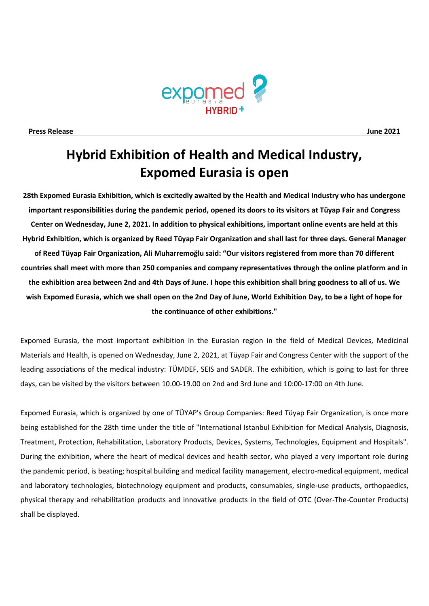

**Press Release June 2021**

# **Hybrid Exhibition of Health and Medical Industry, Expomed Eurasia is open**

**28th Expomed Eurasia Exhibition, which is excitedly awaited by the Health and Medical Industry who has undergone important responsibilities during the pandemic period, opened its doors to its visitors at Tüyap Fair and Congress Center on Wednesday, June 2, 2021. In addition to physical exhibitions, important online events are held at this Hybrid Exhibition, which is organized by Reed Tüyap Fair Organization and shall last for three days. General Manager of Reed Tüyap Fair Organization, Ali Muharremoğlu said: "Our visitors registered from more than 70 different countries shall meet with more than 250 companies and company representatives through the online platform and in the exhibition area between 2nd and 4th Days of June. I hope this exhibition shall bring goodness to all of us. We wish Expomed Eurasia, which we shall open on the 2nd Day of June, World Exhibition Day, to be a light of hope for the continuance of other exhibitions."**

Expomed Eurasia, the most important exhibition in the Eurasian region in the field of Medical Devices, Medicinal Materials and Health, is opened on Wednesday, June 2, 2021, at Tüyap Fair and Congress Center with the support of the leading associations of the medical industry: TÜMDEF, SEIS and SADER. The exhibition, which is going to last for three days, can be visited by the visitors between 10.00-19.00 on 2nd and 3rd June and 10:00-17:00 on 4th June.

Expomed Eurasia, which is organized by one of TÜYAP's Group Companies: Reed Tüyap Fair Organization, is once more being established for the 28th time under the title of "International Istanbul Exhibition for Medical Analysis, Diagnosis, Treatment, Protection, Rehabilitation, Laboratory Products, Devices, Systems, Technologies, Equipment and Hospitals". During the exhibition, where the heart of medical devices and health sector, who played a very important role during the pandemic period, is beating; hospital building and medical facility management, electro-medical equipment, medical and laboratory technologies, biotechnology equipment and products, consumables, single-use products, orthopaedics, physical therapy and rehabilitation products and innovative products in the field of OTC (Over-The-Counter Products) shall be displayed.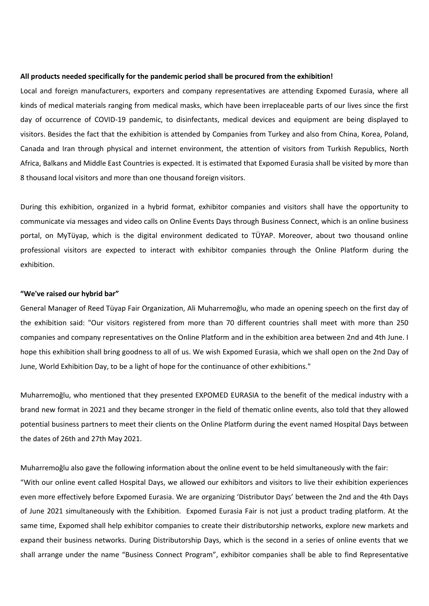#### **All products needed specifically for the pandemic period shall be procured from the exhibition!**

Local and foreign manufacturers, exporters and company representatives are attending Expomed Eurasia, where all kinds of medical materials ranging from medical masks, which have been irreplaceable parts of our lives since the first day of occurrence of COVID-19 pandemic, to disinfectants, medical devices and equipment are being displayed to visitors. Besides the fact that the exhibition is attended by Companies from Turkey and also from China, Korea, Poland, Canada and Iran through physical and internet environment, the attention of visitors from Turkish Republics, North Africa, Balkans and Middle East Countries is expected. It is estimated that Expomed Eurasia shall be visited by more than 8 thousand local visitors and more than one thousand foreign visitors.

During this exhibition, organized in a hybrid format, exhibitor companies and visitors shall have the opportunity to communicate via messages and video calls on Online Events Days through Business Connect, which is an online business portal, on MyTüyap, which is the digital environment dedicated to TÜYAP. Moreover, about two thousand online professional visitors are expected to interact with exhibitor companies through the Online Platform during the exhibition.

## **"We've raised our hybrid bar"**

General Manager of Reed Tüyap Fair Organization, Ali Muharremoğlu, who made an opening speech on the first day of the exhibition said: "Our visitors registered from more than 70 different countries shall meet with more than 250 companies and company representatives on the Online Platform and in the exhibition area between 2nd and 4th June. I hope this exhibition shall bring goodness to all of us. We wish Expomed Eurasia, which we shall open on the 2nd Day of June, World Exhibition Day, to be a light of hope for the continuance of other exhibitions."

Muharremoğlu, who mentioned that they presented EXPOMED EURASIA to the benefit of the medical industry with a brand new format in 2021 and they became stronger in the field of thematic online events, also told that they allowed potential business partners to meet their clients on the Online Platform during the event named Hospital Days between the dates of 26th and 27th May 2021.

Muharremoğlu also gave the following information about the online event to be held simultaneously with the fair:

"With our online event called Hospital Days, we allowed our exhibitors and visitors to live their exhibition experiences even more effectively before Expomed Eurasia. We are organizing 'Distributor Days' between the 2nd and the 4th Days of June 2021 simultaneously with the Exhibition. Expomed Eurasia Fair is not just a product trading platform. At the same time, Expomed shall help exhibitor companies to create their distributorship networks, explore new markets and expand their business networks. During Distributorship Days, which is the second in a series of online events that we shall arrange under the name "Business Connect Program", exhibitor companies shall be able to find Representative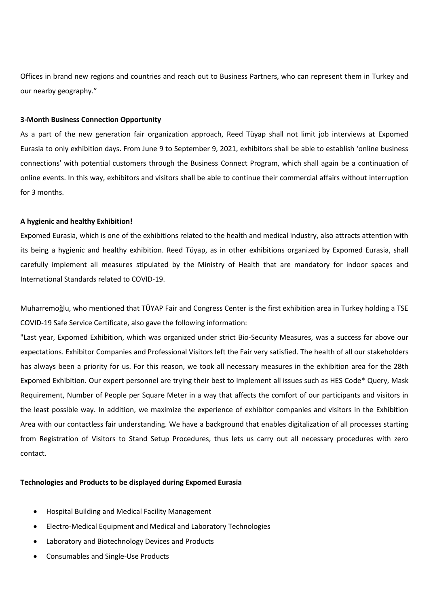Offices in brand new regions and countries and reach out to Business Partners, who can represent them in Turkey and our nearby geography."

## **3-Month Business Connection Opportunity**

As a part of the new generation fair organization approach, Reed Tüyap shall not limit job interviews at Expomed Eurasia to only exhibition days. From June 9 to September 9, 2021, exhibitors shall be able to establish 'online business connections' with potential customers through the Business Connect Program, which shall again be a continuation of online events. In this way, exhibitors and visitors shall be able to continue their commercial affairs without interruption for 3 months.

### **A hygienic and healthy Exhibition!**

Expomed Eurasia, which is one of the exhibitions related to the health and medical industry, also attracts attention with its being a hygienic and healthy exhibition. Reed Tüyap, as in other exhibitions organized by Expomed Eurasia, shall carefully implement all measures stipulated by the Ministry of Health that are mandatory for indoor spaces and International Standards related to COVID-19.

Muharremoğlu, who mentioned that TÜYAP Fair and Congress Center is the first exhibition area in Turkey holding a TSE COVID-19 Safe Service Certificate, also gave the following information:

"Last year, Expomed Exhibition, which was organized under strict Bio-Security Measures, was a success far above our expectations. Exhibitor Companies and Professional Visitors left the Fair very satisfied. The health of all our stakeholders has always been a priority for us. For this reason, we took all necessary measures in the exhibition area for the 28th Expomed Exhibition. Our expert personnel are trying their best to implement all issues such as HES Code\* Query, Mask Requirement, Number of People per Square Meter in a way that affects the comfort of our participants and visitors in the least possible way. In addition, we maximize the experience of exhibitor companies and visitors in the Exhibition Area with our contactless fair understanding. We have a background that enables digitalization of all processes starting from Registration of Visitors to Stand Setup Procedures, thus lets us carry out all necessary procedures with zero contact.

#### **Technologies and Products to be displayed during Expomed Eurasia**

- Hospital Building and Medical Facility Management
- Electro-Medical Equipment and Medical and Laboratory Technologies
- Laboratory and Biotechnology Devices and Products
- Consumables and Single-Use Products